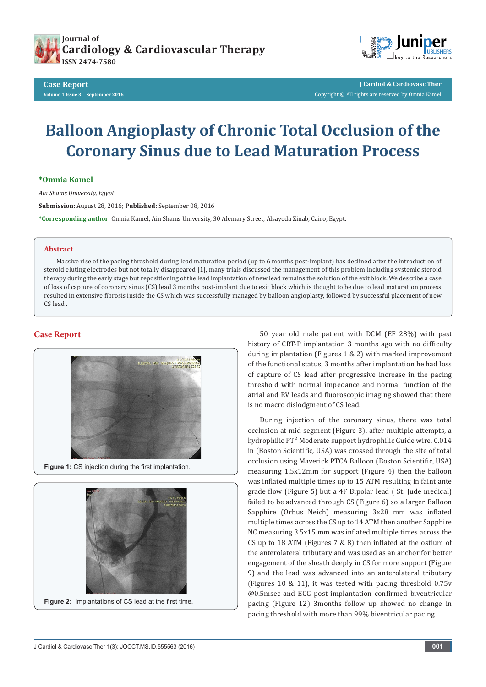



**J Cardiol & Cardiovasc Ther** Copyright © All rights are reserved by Omnia Kamel

# **Balloon Angioplasty of Chronic Total Occlusion of the Coronary Sinus due to Lead Maturation Process**

**\*Omnia Kamel**

*Ain Shams University, Egypt*

**Submission:** August 28, 2016; **Published:** September 08, 2016

**\*Corresponding author:** Omnia Kamel, Ain Shams University, 30 Alemary Street, Alsayeda Zinab, Cairo, Egypt.

### **Abstract**

Massive rise of the pacing threshold during lead maturation period (up to 6 months post-implant) has declined after the introduction of steroid eluting electrodes but not totally disappeared [1], many trials discussed the management of this problem including systemic steroid therapy during the early stage but repositioning of the lead implantation of new lead remains the solution of the exit block. We describe a case of loss of capture of coronary sinus (CS) lead 3 months post-implant due to exit block which is thought to be due to lead maturation process resulted in extensive fibrosis inside the CS which was successfully managed by balloon angioplasty, followed by successful placement of new CS lead .

## **Case Report**



Figure 1: CS injection during the first implantation.



50 year old male patient with DCM (EF 28%) with past history of CRT-P implantation 3 months ago with no difficulty during implantation (Figures 1 & 2) with marked improvement of the functional status, 3 months after implantation he had loss of capture of CS lead after progressive increase in the pacing threshold with normal impedance and normal function of the atrial and RV leads and fluoroscopic imaging showed that there is no macro dislodgment of CS lead.

During injection of the coronary sinus, there was total occlusion at mid segment (Figure 3), after multiple attempts, a hydrophilic PT<sup>2</sup> Moderate support hydrophilic Guide wire, 0.014 in (Boston Scientific, USA) was crossed through the site of total occlusion using Maverick PTCA Balloon (Boston Scientific, USA) measuring 1.5x12mm for support (Figure 4) then the balloon was inflated multiple times up to 15 ATM resulting in faint ante grade flow (Figure 5) but a 4F Bipolar lead ( St. Jude medical) failed to be advanced through CS (Figure 6) so a larger Balloon Sapphire (Orbus Neich) measuring 3x28 mm was inflated multiple times across the CS up to 14 ATM then another Sapphire NC measuring 3.5x15 mm was inflated multiple times across the CS up to 18 ATM (Figures 7 & 8) then inflated at the ostium of the anterolateral tributary and was used as an anchor for better engagement of the sheath deeply in CS for more support (Figure 9) and the lead was advanced into an anterolateral tributary (Figures 10 & 11), it was tested with pacing threshold 0.75v @0.5msec and ECG post implantation confirmed biventricular pacing (Figure 12) 3months follow up showed no change in pacing threshold with more than 99% biventricular pacing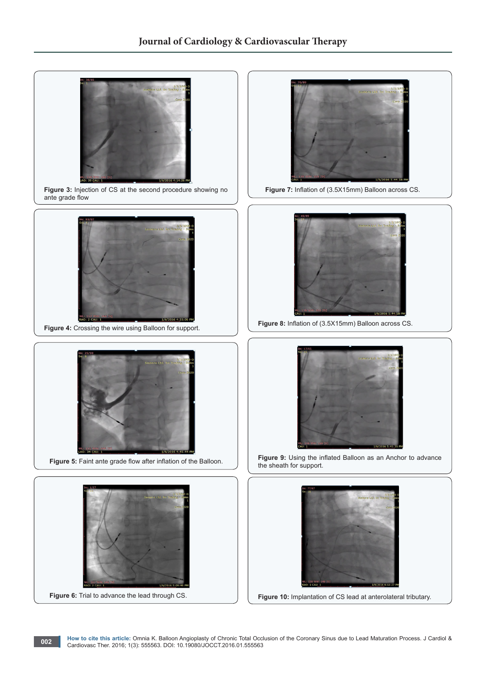

Figure 3: Injection of CS at the second procedure showing no ante grade flow



Figure 4: Crossing the wire using Balloon for support.



 **Figure 5:** Faint ante grade flow after inflation of the Balloon.





 **Figure 7:** Inflation of (3.5X15mm) Balloon across CS.



**Figure 8:** Inflation of (3.5X15mm) Balloon across CS.

![](_page_1_Picture_12.jpeg)

**Figure 9:** Using the inflated Balloon as an Anchor to advance the sheath for support.

![](_page_1_Picture_14.jpeg)

**Figure 10:** Implantation of CS lead at anterolateral tributary.